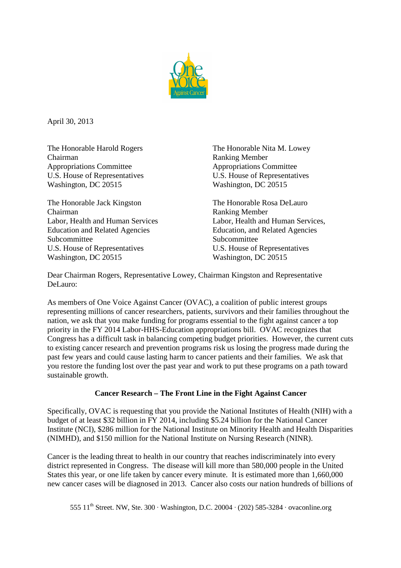

April 30, 2013

Chairman Ranking Member Appropriations Committee Appropriations Committee U.S. House of Representatives U.S. House of Representatives Washington, DC 20515 Washington, DC 20515

The Honorable Jack Kingston The Honorable Rosa DeLauro Chairman Ranking Member Subcommittee Subcommittee Subcommittee Subcommittee Subcommittee Subcommittee Subcommittee Subcommittee Subcommittee Subcommittee Subcommittee Subcommittee Subcommittee Subcommittee Subcommittee Subcommittee Subcommittee S U.S. House of Representatives U.S. House of Representatives Washington, DC 20515 Washington, DC 20515

The Honorable Harold Rogers The Honorable Nita M. Lowey

Labor, Health and Human Services<br>
Education and Related Agencies<br>
Education, and Related Agencies Education, and Related Agencies

Dear Chairman Rogers, Representative Lowey, Chairman Kingston and Representative DeLauro:

As members of One Voice Against Cancer (OVAC), a coalition of public interest groups representing millions of cancer researchers, patients, survivors and their families throughout the nation, we ask that you make funding for programs essential to the fight against cancer a top priority in the FY 2014 Labor-HHS-Education appropriations bill. OVAC recognizes that Congress has a difficult task in balancing competing budget priorities. However, the current cuts to existing cancer research and prevention programs risk us losing the progress made during the past few years and could cause lasting harm to cancer patients and their families. We ask that you restore the funding lost over the past year and work to put these programs on a path toward sustainable growth.

## **Cancer Research – The Front Line in the Fight Against Cancer**

Specifically, OVAC is requesting that you provide the National Institutes of Health (NIH) with a budget of at least \$32 billion in FY 2014, including \$5.24 billion for the National Cancer Institute (NCI), \$286 million for the National Institute on Minority Health and Health Disparities (NIMHD), and \$150 million for the National Institute on Nursing Research (NINR).

Cancer is the leading threat to health in our country that reaches indiscriminately into every district represented in Congress. The disease will kill more than 580,000 people in the United States this year, or one life taken by cancer every minute. It is estimated more than 1,660,000 new cancer cases will be diagnosed in 2013. Cancer also costs our nation hundreds of billions of

555  $11<sup>th</sup>$  Street. NW, Ste. 300 · Washington, D.C. 20004 · (202) 585-3284 · ovaconline.org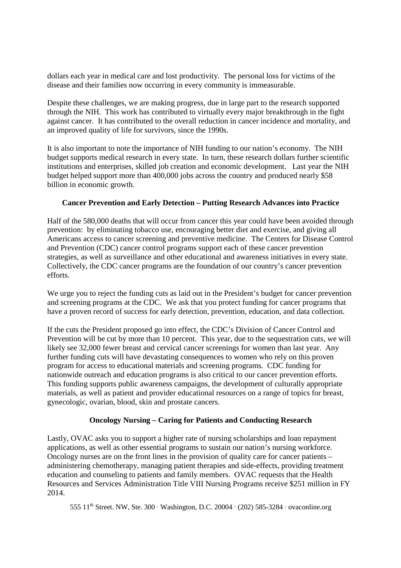dollars each year in medical care and lost productivity. The personal loss for victims of the disease and their families now occurring in every community is immeasurable.

Despite these challenges, we are making progress, due in large part to the research supported through the NIH. This work has contributed to virtually every major breakthrough in the fight against cancer. It has contributed to the overall reduction in cancer incidence and mortality, and an improved quality of life for survivors, since the 1990s.

It is also important to note the importance of NIH funding to our nation's economy. The NIH budget supports medical research in every state. In turn, these research dollars further scientific institutions and enterprises, skilled job creation and economic development. Last year the NIH budget helped support more than 400,000 jobs across the country and produced nearly \$58 billion in economic growth.

## **Cancer Prevention and Early Detection – Putting Research Advances into Practice**

Half of the 580,000 deaths that will occur from cancer this year could have been avoided through prevention: by eliminating tobacco use, encouraging better diet and exercise, and giving all Americans access to cancer screening and preventive medicine. The Centers for Disease Control and Prevention (CDC) cancer control programs support each of these cancer prevention strategies, as well as surveillance and other educational and awareness initiatives in every state. Collectively, the CDC cancer programs are the foundation of our country's cancer prevention efforts.

We urge you to reject the funding cuts as laid out in the President's budget for cancer prevention and screening programs at the CDC. We ask that you protect funding for cancer programs that have a proven record of success for early detection, prevention, education, and data collection.

If the cuts the President proposed go into effect, the CDC's Division of Cancer Control and Prevention will be cut by more than 10 percent. This year, due to the sequestration cuts, we will likely see 32,000 fewer breast and cervical cancer screenings for women than last year. Any further funding cuts will have devastating consequences to women who rely on this proven program for access to educational materials and screening programs. CDC funding for nationwide outreach and education programs is also critical to our cancer prevention efforts. This funding supports public awareness campaigns, the development of culturally appropriate materials, as well as patient and provider educational resources on a range of topics for breast, gynecologic, ovarian, blood, skin and prostate cancers.

## **Oncology Nursing – Caring for Patients and Conducting Research**

Lastly, OVAC asks you to support a higher rate of nursing scholarships and loan repayment applications, as well as other essential programs to sustain our nation's nursing workforce. Oncology nurses are on the front lines in the provision of quality care for cancer patients – administering chemotherapy, managing patient therapies and side-effects, providing treatment education and counseling to patients and family members. OVAC requests that the Health Resources and Services Administration Title VIII Nursing Programs receive \$251 million in FY 2014.

555  $11<sup>th</sup>$  Street. NW, Ste. 300 · Washington, D.C. 20004 · (202) 585-3284 · ovaconline.org